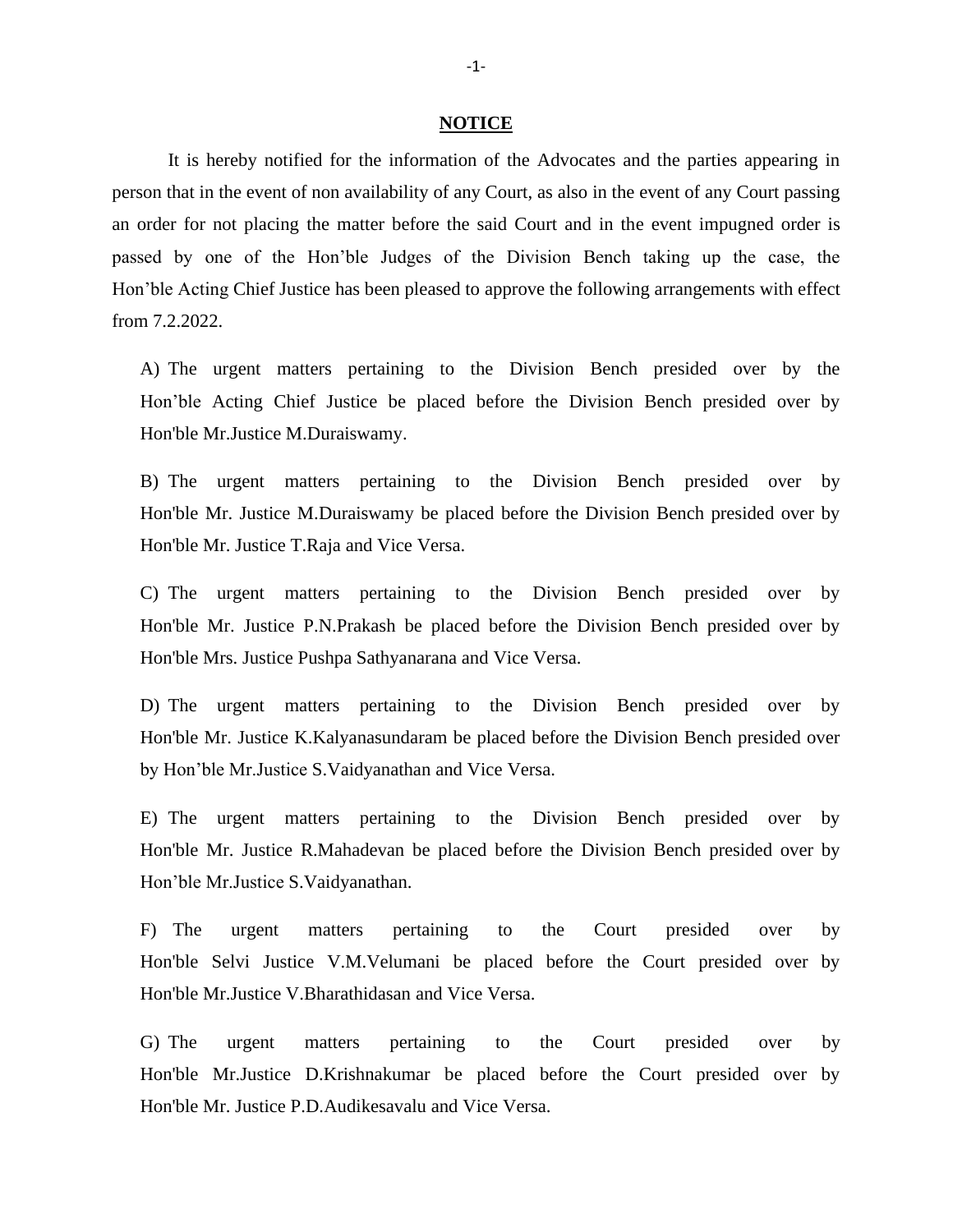## **NOTICE**

It is hereby notified for the information of the Advocates and the parties appearing in person that in the event of non availability of any Court, as also in the event of any Court passing an order for not placing the matter before the said Court and in the event impugned order is passed by one of the Hon'ble Judges of the Division Bench taking up the case, the Hon'ble Acting Chief Justice has been pleased to approve the following arrangements with effect from 7.2.2022.

A) The urgent matters pertaining to the Division Bench presided over by the Hon'ble Acting Chief Justice be placed before the Division Bench presided over by Hon'ble Mr.Justice M.Duraiswamy.

B) The urgent matters pertaining to the Division Bench presided over by Hon'ble Mr. Justice M.Duraiswamy be placed before the Division Bench presided over by Hon'ble Mr. Justice T.Raja and Vice Versa.

C) The urgent matters pertaining to the Division Bench presided over by Hon'ble Mr. Justice P.N.Prakash be placed before the Division Bench presided over by Hon'ble Mrs. Justice Pushpa Sathyanarana and Vice Versa.

D) The urgent matters pertaining to the Division Bench presided over by Hon'ble Mr. Justice K.Kalyanasundaram be placed before the Division Bench presided over by Hon'ble Mr.Justice S.Vaidyanathan and Vice Versa.

E) The urgent matters pertaining to the Division Bench presided over by Hon'ble Mr. Justice R.Mahadevan be placed before the Division Bench presided over by Hon'ble Mr.Justice S.Vaidyanathan.

F) The urgent matters pertaining to the Court presided over by Hon'ble Selvi Justice V.M.Velumani be placed before the Court presided over by Hon'ble Mr.Justice V.Bharathidasan and Vice Versa.

G) The urgent matters pertaining to the Court presided over by Hon'ble Mr.Justice D.Krishnakumar be placed before the Court presided over by Hon'ble Mr. Justice P.D.Audikesavalu and Vice Versa.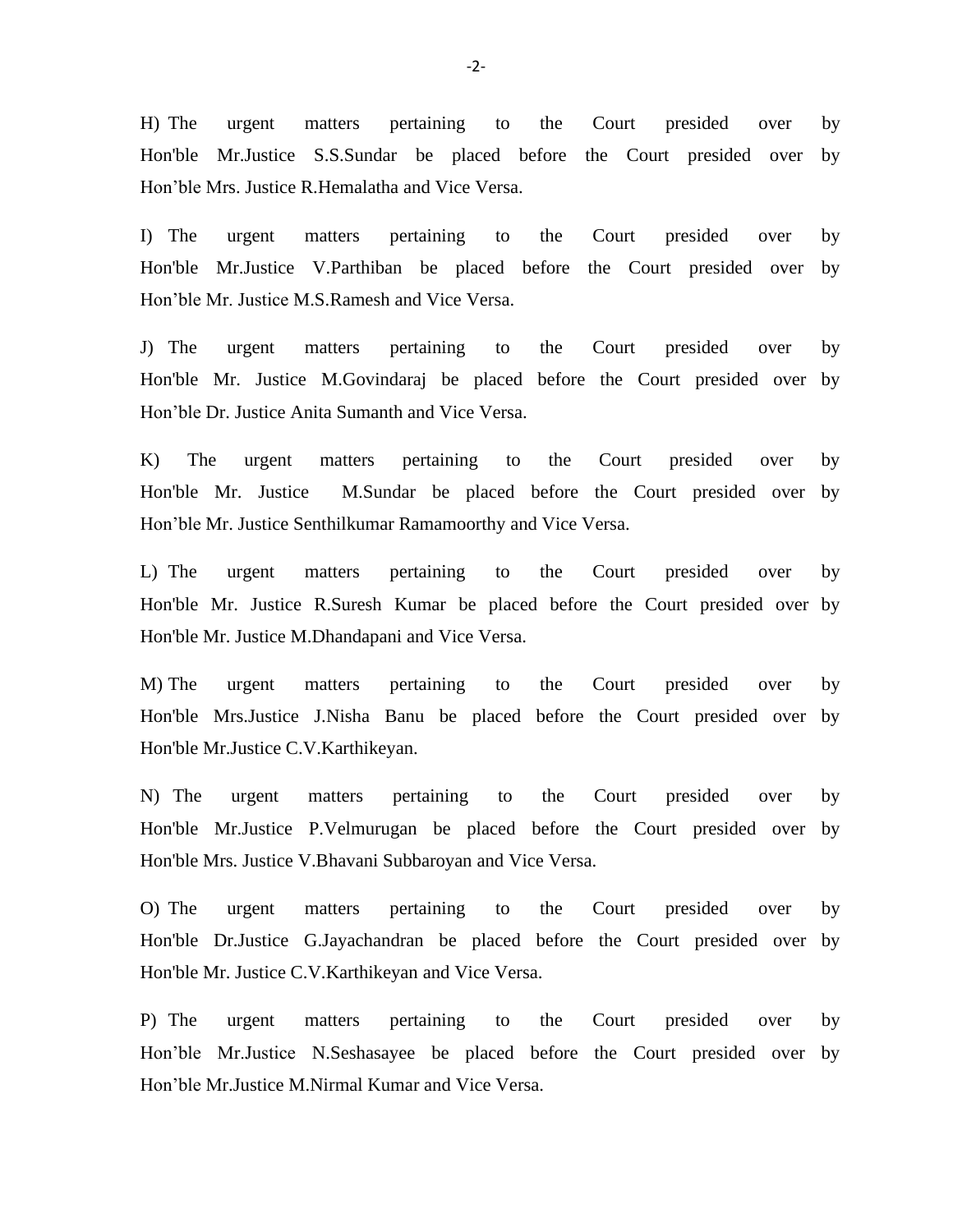H) The urgent matters pertaining to the Court presided over by Hon'ble Mr.Justice S.S.Sundar be placed before the Court presided over by Hon'ble Mrs. Justice R.Hemalatha and Vice Versa.

I) The urgent matters pertaining to the Court presided over by Hon'ble Mr.Justice V.Parthiban be placed before the Court presided over by Hon'ble Mr. Justice M.S.Ramesh and Vice Versa.

J) The urgent matters pertaining to the Court presided over by Hon'ble Mr. Justice M.Govindaraj be placed before the Court presided over by Hon'ble Dr. Justice Anita Sumanth and Vice Versa.

K) The urgent matters pertaining to the Court presided over by Hon'ble Mr. Justice M.Sundar be placed before the Court presided over by Hon'ble Mr. Justice Senthilkumar Ramamoorthy and Vice Versa.

L) The urgent matters pertaining to the Court presided over by Hon'ble Mr. Justice R.Suresh Kumar be placed before the Court presided over by Hon'ble Mr. Justice M.Dhandapani and Vice Versa.

M) The urgent matters pertaining to the Court presided over by Hon'ble Mrs.Justice J.Nisha Banu be placed before the Court presided over by Hon'ble Mr.Justice C.V.Karthikeyan.

N) The urgent matters pertaining to the Court presided over by Hon'ble Mr.Justice P.Velmurugan be placed before the Court presided over by Hon'ble Mrs. Justice V.Bhavani Subbaroyan and Vice Versa.

O) The urgent matters pertaining to the Court presided over by Hon'ble Dr.Justice G.Jayachandran be placed before the Court presided over by Hon'ble Mr. Justice C.V.Karthikeyan and Vice Versa.

P) The urgent matters pertaining to the Court presided over by Hon'ble Mr.Justice N.Seshasayee be placed before the Court presided over by Hon'ble Mr.Justice M.Nirmal Kumar and Vice Versa.